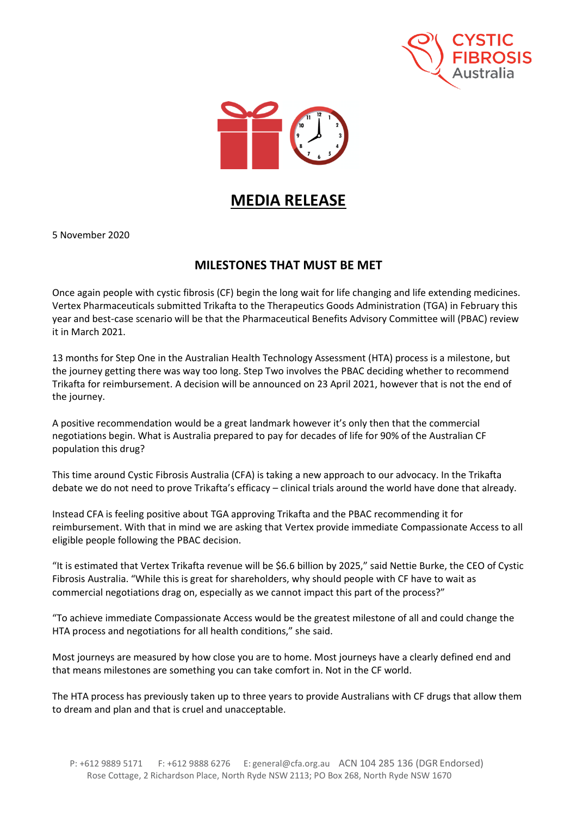



## **MEDIA RELEASE**

5 November 2020

## **MILESTONES THAT MUST BE MET**

Once again people with cystic fibrosis (CF) begin the long wait for life changing and life extending medicines. Vertex Pharmaceuticals submitted Trikafta to the Therapeutics Goods Administration (TGA) in February this year and best-case scenario will be that the Pharmaceutical Benefits Advisory Committee will (PBAC) review it in March 2021.

13 months for Step One in the Australian Health Technology Assessment (HTA) process is a milestone, but the journey getting there was way too long. Step Two involves the PBAC deciding whether to recommend Trikafta for reimbursement. A decision will be announced on 23 April 2021, however that is not the end of the journey.

A positive recommendation would be a great landmark however it's only then that the commercial negotiations begin. What is Australia prepared to pay for decades of life for 90% of the Australian CF population this drug?

This time around Cystic Fibrosis Australia (CFA) is taking a new approach to our advocacy. In the Trikafta debate we do not need to prove Trikafta's efficacy – clinical trials around the world have done that already.

Instead CFA is feeling positive about TGA approving Trikafta and the PBAC recommending it for reimbursement. With that in mind we are asking that Vertex provide immediate Compassionate Access to all eligible people following the PBAC decision.

"It is estimated that Vertex Trikafta revenue will be \$6.6 billion by 2025," said Nettie Burke, the CEO of Cystic Fibrosis Australia. "While this is great for shareholders, why should people with CF have to wait as commercial negotiations drag on, especially as we cannot impact this part of the process?"

"To achieve immediate Compassionate Access would be the greatest milestone of all and could change the HTA process and negotiations for all health conditions," she said.

Most journeys are measured by how close you are to home. Most journeys have a clearly defined end and that means milestones are something you can take comfort in. Not in the CF world.

The HTA process has previously taken up to three years to provide Australians with CF drugs that allow them to dream and plan and that is cruel and unacceptable.